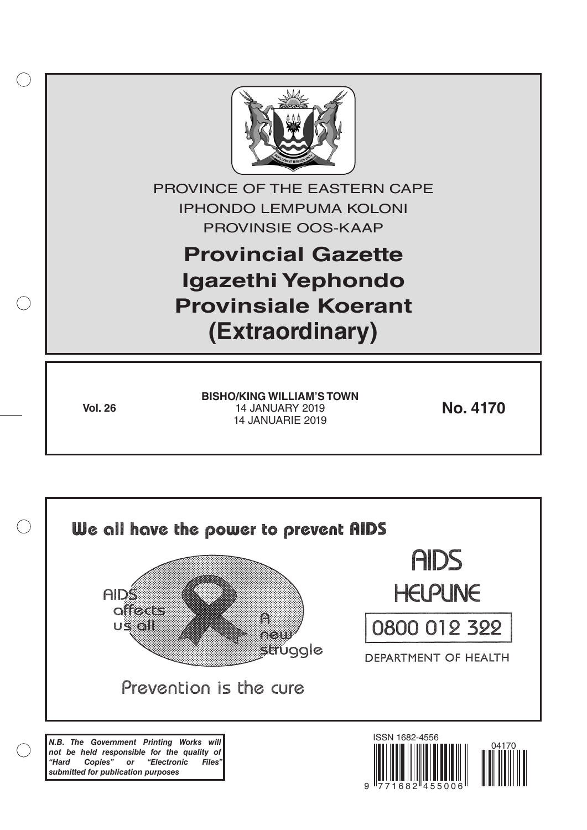

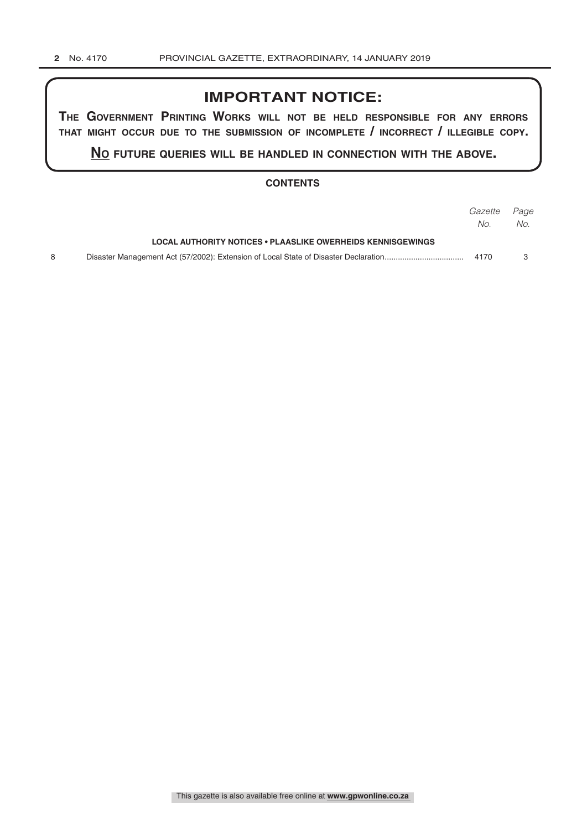# **IMPORTANT NOTICE:**

**The GovernmenT PrinTinG Works Will noT be held resPonsible for any errors ThaT miGhT occur due To The submission of incomPleTe / incorrecT / illeGible coPy.**

**no fuTure queries Will be handled in connecTion WiTh The above.**

# **CONTENTS**

|                                                             | <i>Gazette Page</i> |     |
|-------------------------------------------------------------|---------------------|-----|
|                                                             | No.                 | No. |
| LOCAL AUTHORITY NOTICES • PLAASLIKE OWERHEIDS KENNISGEWINGS |                     |     |
|                                                             | 4170                |     |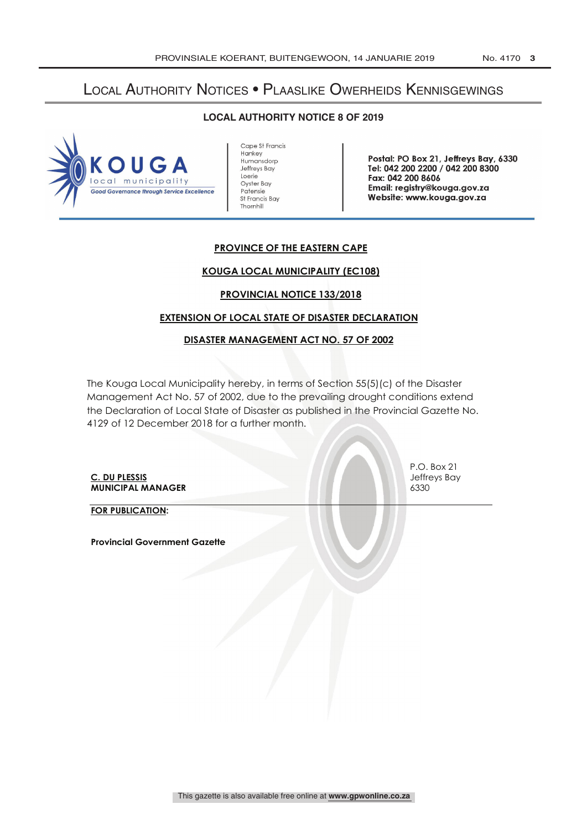# Local Authority Notices • Plaaslike Owerheids Kennisgewings

**LOCAL AUTHORITY NOTICE 8 OF 2019** 



Cape St Francis **Hankey** Humansdorp Jeffreys Bay Loerie Oyster Bay Patensie St Francis Bay Thornhill

Postal: PO Box 21, Jeffreys Bay, 6330 Tel: 042 200 2200 / 042 200 8300 Fax: 042 200 8606 Email: registry @kouga.gov.za Website: www.kouga.gov.za

# **PROVINCE OF THE EASTERN CAPE**

#### **KOUGA LOCAL MUNICIPALITY (EC108)**

### **PROVINCIAL NOTICE 133/2018**

# **EXTENSION OF LOCAL STATE OF DISASTER DECLARATION**

#### **DISASTER MANAGEMENT ACT NO. 57 OF 2002**

The Kouga Local Municipality hereby, in terms of Section 55(5)(c) of the Disaster Management Act No. 57 of 2002, due to the prevailing drought conditions extend the Declaration of Local State of Disaster as published in the Provincial Gazette No. 4129 of 12 December 2018 for a further month.

**C. DU PLESSIS** Jeffreys Bay **MUNICIPAL MANAGER** 6330

**FOR PUBLICATION:**

**Provincial Government Gazette**

P.O. Box 21